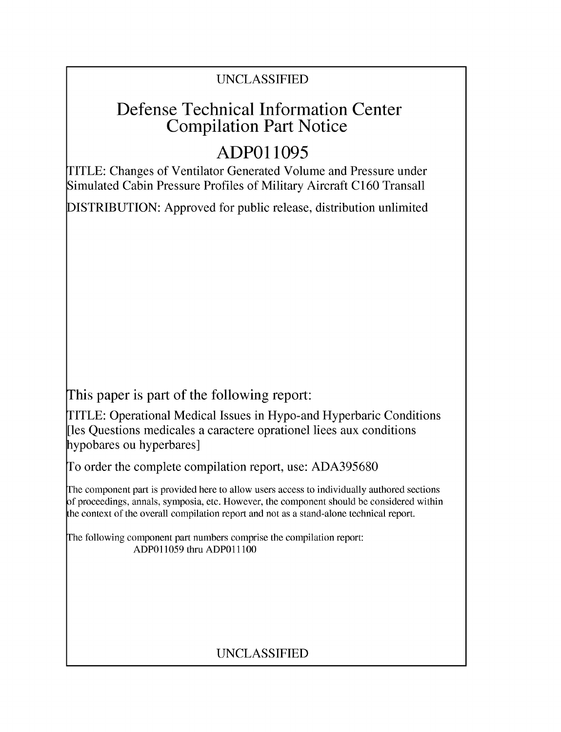## UNCLASSIFIED

# Defense Technical Information Center Compilation Part Notice

# **ADPO 11095**

TITLE: Changes of Ventilator Generated Volume and Pressure under Simulated Cabin Pressure Profiles of Military Aircraft C160 Transall

DISTRIBUTION: Approved for public release, distribution unlimited

This paper is part of the following report:

TITLE: Operational Medical Issues in Hypo-and Hyperbaric Conditions [les Questions medicales a caractere oprationel liees aux conditions hypobares ou hyperbares]

To order the complete compilation report, use: ADA395680

The component part is provided here to allow users access to individually authored sections f proceedings, annals, symposia, etc. However, the component should be considered within [he context of the overall compilation report and not as a stand-alone technical report.

The following component part numbers comprise the compilation report: ADPO11059 thru ADP011100

## UNCLASSIFIED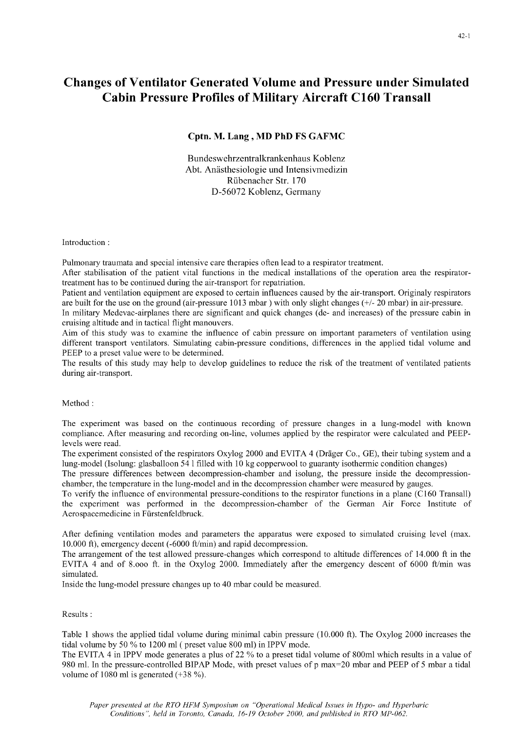### Changes of Ventilator Generated Volume and Pressure under Simulated Cabin Pressure Profiles of Military Aircraft **C160** Transall

### Cptn. M. Lang, MD PhD **FS GAFMC**

Bundeswehrzentralkrankenhaus Koblenz Abt. Anästhesiologie und Intensivmedizin Rfibenacher Str. 170 D-56072 Koblenz, Germany

Introduction:

Pulmonary traumata and special intensive care therapies often lead to a respirator treatment.

After stabilisation of the patient vital functions in the medical installations of the operation area the respiratortreatment has to be continued during the air-transport for repatriation.

Patient and ventilation equipment are exposed to certain influences caused by the air-transport. Originaly respirators are built for the use on the ground (air-pressure 1013 mbar ) with only slight changes **(+/-** 20 mbar) in air-pressure.

In military Medevac-airplanes there are significant and quick changes (de- and increases) of the pressure cabin in cruising altitude and in tactical flight manouvers.

Aim of this study was to examine the influence of cabin pressure on important parameters of ventilation using different transport ventilators. Simulating cabin-pressure conditions, differences in the applied tidal volume and PEEP to a preset value were to be determined.

The results of this study may help to develop guidelines to reduce the risk of the treatment of ventilated patients during air-transport.

Method:

The experiment was based on the continuous recording of pressure changes in a lung-model with known compliance. After measuring and recording on-line, volumes applied by the respirator were calculated and PEEPlevels were read.

The experiment consisted of the respirators Oxylog 2000 and EVITA 4 (Dräger Co., GE), their tubing system and a lung-model (Isolung: glasballoon 54 1 filled with 10 kg copperwool to guaranty isothermic condition changes)

The pressure differences between decompression-chamber and isolung, the pressure inside the decompressionchamber, the temperature in the lung-model and in the decompression chamber were measured by gauges.

To verify the influence of environmental pressure-conditions to the respirator functions in a plane (C160 Transall) the experiment was performed in the decompression-chamber of the German Air Force Institute of Aerospacemedicine in Fiirstenfeldbruck.

After defining ventilation modes and parameters the apparatus were exposed to simulated cruising level (max. 10.000 ft), emergency decent (-6000 ft/min) and rapid decompression.

The arrangement of the test allowed pressure-changes which correspond to altitude differences of 14.000 ft in the EVITA 4 and of 8.000 ft. in the Oxylog 2000. Immediately after the emergency descent of 6000 ft/min was simulated.

Inside the lung-model pressure changes up to 40 mbar could be measured.

#### Results **:**

Table 1 shows the applied tidal volume during minimal cabin pressure (10.000 ft). The Oxylog 2000 increases the tidal volume by 50 % to 1200 ml (preset value 800 ml) in IPPV mode.

The EVITA 4 in IPPV mode generates a plus of 22 % to a preset tidal volume of 800ml which results in a value of 980 ml. In the pressure-controlled BIPAP Mode, with preset values of p max=20 mbar and PEEP of 5 mbar a tidal volume of 1080 ml is generated (+38 %).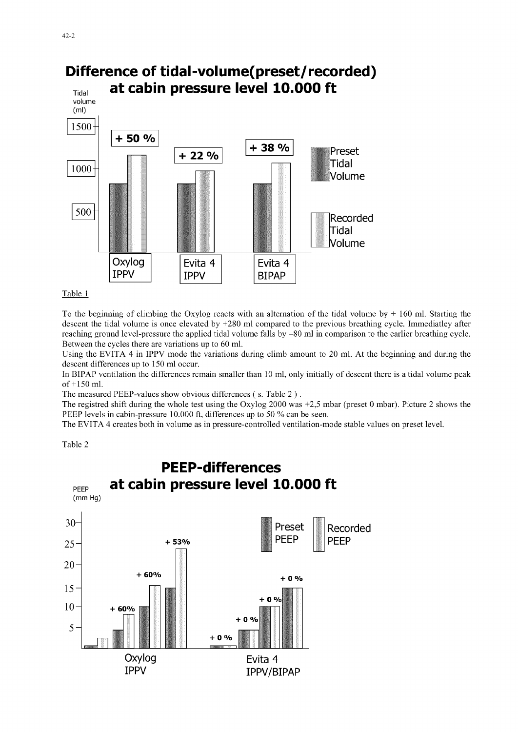

### Table 1

To the beginning of climbing the Oxylog reacts with an alternation of the tidal volume by **+** 160 ml. Starting the descent the tidal volume is once elevated by +280 ml compared to the previous breathing cycle. Immediatley after reaching ground level-pressure the applied tidal volume falls by **-80** ml in comparison to the earlier breathing cycle. Between the cycles there are variations up to 60 ml.

Using the EVITA 4 in IPPV mode the variations during climb amount to 20 ml. At the beginning and during the descent differences up to 150 ml occur.

In BIPAP ventilation the differences remain smaller than 10 ml, only initially of descent there is a tidal volume peak of+150 ml.

The measured PEEP-values show obvious differences **(** s. Table 2).

The registred shift during the whole test using the Oxylog 2000 was +2,5 mbar (preset 0 mbar). Picture 2 shows the PEEP levels in cabin-pressure 10.000 ft, differences up to 50 % can be seen.

The EVITA 4 creates both in volume as in pressure-controlled ventilation-mode stable values on preset level.

Table 2

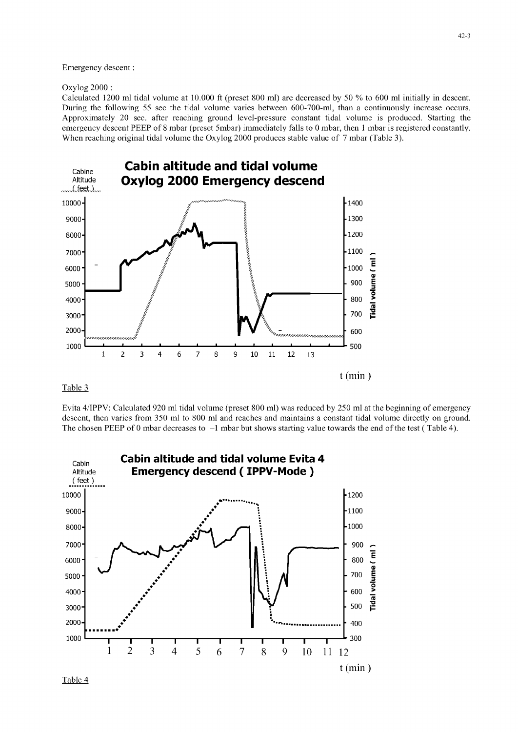Emergency descent:

Oxylog 2000:

Calculated 1200 ml tidal volume at 10.000 ft (preset 800 ml) are decreased by 50 % to 600 ml initially in descent. During the following 55 sec the tidal volume varies between 600-700-ml, than a continuously increase occurs. Approximately 20 sec. after reaching ground level-pressure constant tidal volume is produced. Starting the emergency descent PEEP of 8 mbar (preset 5mbar) immediately falls to 0 mbar, then 1 mbar is registered constantly. When reaching original tidal volume the Oxylog 2000 produces stable value of 7 mbar (Table 3).



### Table 3

Evita 4/IPPV: Calculated 920 ml tidal volume (preset 800 ml) was reduced by 250 ml at the beginning of emergency descent, then varies from 350 ml to 800 ml and reaches and maintains a constant tidal volume directly on ground. The chosen PEEP of 0 mbar decreases to **-1** mbar but shows starting value towards the end of the test ( Table 4).



Table 4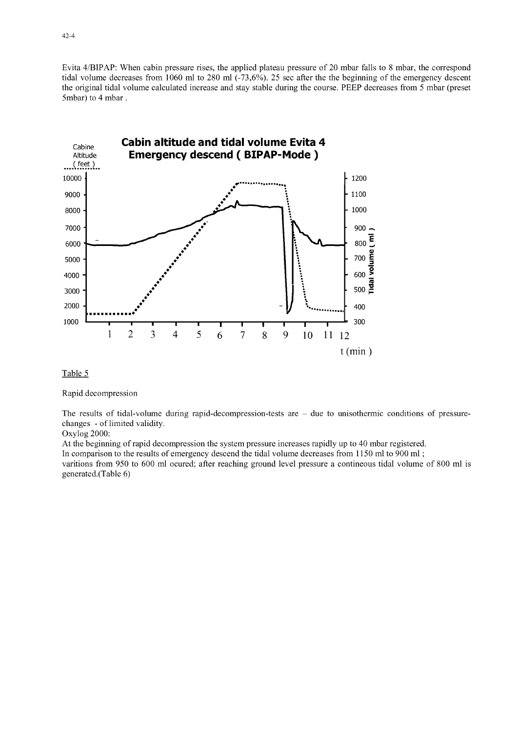Evita 4/BIPAP: When cabin pressure rises, the applied plateau pressure of 20 mbar falls to 8 mbar, the correspond tidal volume decreases from 1060 ml to 280 ml (-73,6%). 25 sec after the the beginning of the emergency descent the original tidal volume calculated increase and stay stable during the course. PEEP decreases from 5 mbar (preset 5mbar) to 4 mbar.



Table 5

Rapid decompression

The results of tidal-volume during rapid-decompression-tests are **-** due to unisothermic conditions of pressurechanges - of limited validity.

Oxylog 2000:

At the beginning of rapid decompression the system pressure increases rapidly up to 40 mbar registered.

In comparison to the results of emergency descend the tidal volume decreases from 1150 ml to 900 ml **;**

varitions from 950 to 600 ml ocured; after reaching ground level pressure a contineous tidal volume of 800 ml is generated.(Table 6)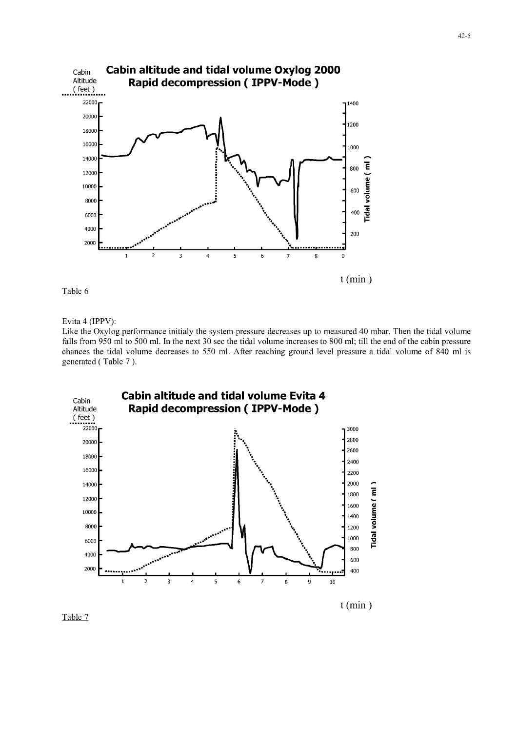

Table 6

Evita 4 (IPPV):

Like the Oxylog performance initialy the system pressure decreases up to measured 40 mbar. Then the tidal volume falls from 950 ml to 500 ml. In the next 30 sec the tidal volume increases to 800 ml; till the end of the cabin pressure chances the tidal volume decreases to 550 ml. After reaching ground level pressure a tidal volume of 840 ml is generated ( Table 7 ).



Table 7